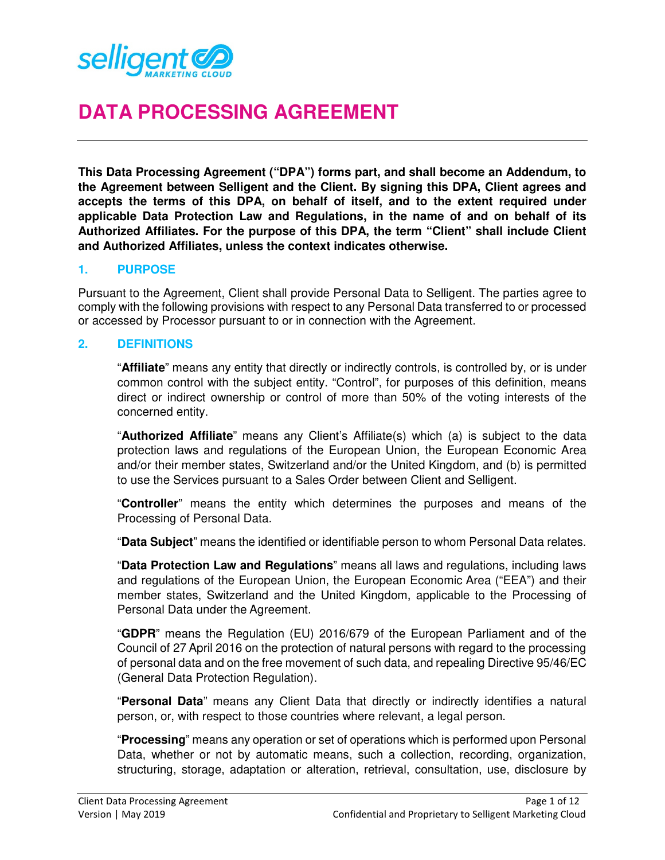

# **DATA PROCESSING AGREEMENT**

**This Data Processing Agreement ("DPA") forms part, and shall become an Addendum, to the Agreement between Selligent and the Client. By signing this DPA, Client agrees and accepts the terms of this DPA, on behalf of itself, and to the extent required under applicable Data Protection Law and Regulations, in the name of and on behalf of its Authorized Affiliates. For the purpose of this DPA, the term "Client" shall include Client and Authorized Affiliates, unless the context indicates otherwise.** 

#### **1. PURPOSE**

Pursuant to the Agreement, Client shall provide Personal Data to Selligent. The parties agree to comply with the following provisions with respect to any Personal Data transferred to or processed or accessed by Processor pursuant to or in connection with the Agreement.

#### **2. DEFINITIONS**

"**Affiliate**" means any entity that directly or indirectly controls, is controlled by, or is under common control with the subject entity. "Control", for purposes of this definition, means direct or indirect ownership or control of more than 50% of the voting interests of the concerned entity.

"**Authorized Affiliate**" means any Client's Affiliate(s) which (a) is subject to the data protection laws and regulations of the European Union, the European Economic Area and/or their member states, Switzerland and/or the United Kingdom, and (b) is permitted to use the Services pursuant to a Sales Order between Client and Selligent.

"**Controller**" means the entity which determines the purposes and means of the Processing of Personal Data.

"**Data Subject**" means the identified or identifiable person to whom Personal Data relates.

"**Data Protection Law and Regulations**" means all laws and regulations, including laws and regulations of the European Union, the European Economic Area ("EEA") and their member states, Switzerland and the United Kingdom, applicable to the Processing of Personal Data under the Agreement.

"**GDPR**" means the Regulation (EU) 2016/679 of the European Parliament and of the Council of 27 April 2016 on the protection of natural persons with regard to the processing of personal data and on the free movement of such data, and repealing Directive 95/46/EC (General Data Protection Regulation).

"**Personal Data**" means any Client Data that directly or indirectly identifies a natural person, or, with respect to those countries where relevant, a legal person.

"**Processing**" means any operation or set of operations which is performed upon Personal Data, whether or not by automatic means, such a collection, recording, organization, structuring, storage, adaptation or alteration, retrieval, consultation, use, disclosure by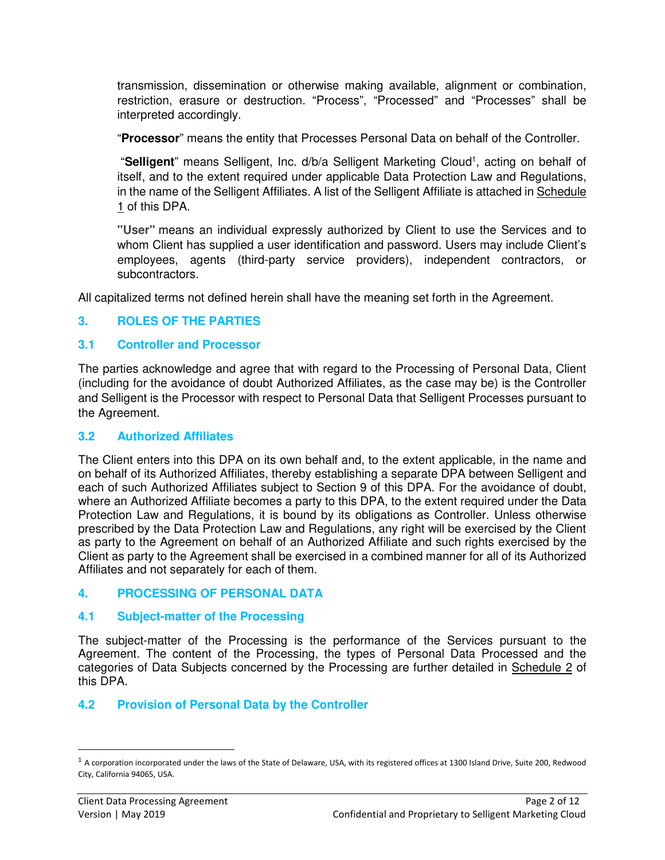transmission, dissemination or otherwise making available, alignment or combination, restriction, erasure or destruction. "Process", "Processed" and "Processes" shall be interpreted accordingly.

"**Processor**" means the entity that Processes Personal Data on behalf of the Controller.

"Selligent" means Selligent, Inc. d/b/a Selligent Marketing Cloud<sup>1</sup>, acting on behalf of itself, and to the extent required under applicable Data Protection Law and Regulations, in the name of the Selligent Affiliates. A list of the Selligent Affiliate is attached in Schedule 1 of this DPA.

**"User"** means an individual expressly authorized by Client to use the Services and to whom Client has supplied a user identification and password. Users may include Client's employees, agents (third-party service providers), independent contractors, or subcontractors.

All capitalized terms not defined herein shall have the meaning set forth in the Agreement.

### **3. ROLES OF THE PARTIES**

#### **3.1 Controller and Processor**

The parties acknowledge and agree that with regard to the Processing of Personal Data, Client (including for the avoidance of doubt Authorized Affiliates, as the case may be) is the Controller and Selligent is the Processor with respect to Personal Data that Selligent Processes pursuant to the Agreement.

#### **3.2 Authorized Affiliates**

The Client enters into this DPA on its own behalf and, to the extent applicable, in the name and on behalf of its Authorized Affiliates, thereby establishing a separate DPA between Selligent and each of such Authorized Affiliates subject to Section 9 of this DPA. For the avoidance of doubt, where an Authorized Affiliate becomes a party to this DPA, to the extent required under the Data Protection Law and Regulations, it is bound by its obligations as Controller. Unless otherwise prescribed by the Data Protection Law and Regulations, any right will be exercised by the Client as party to the Agreement on behalf of an Authorized Affiliate and such rights exercised by the Client as party to the Agreement shall be exercised in a combined manner for all of its Authorized Affiliates and not separately for each of them.

#### **4. PROCESSING OF PERSONAL DATA**

### **4.1 Subject-matter of the Processing**

The subject-matter of the Processing is the performance of the Services pursuant to the Agreement. The content of the Processing, the types of Personal Data Processed and the categories of Data Subjects concerned by the Processing are further detailed in Schedule 2 of this DPA.

### **4.2 Provision of Personal Data by the Controller**

<u>.</u>

 $1$  A corporation incorporated under the laws of the State of Delaware, USA, with its registered offices at 1300 Island Drive, Suite 200, Redwood City, California 94065, USA.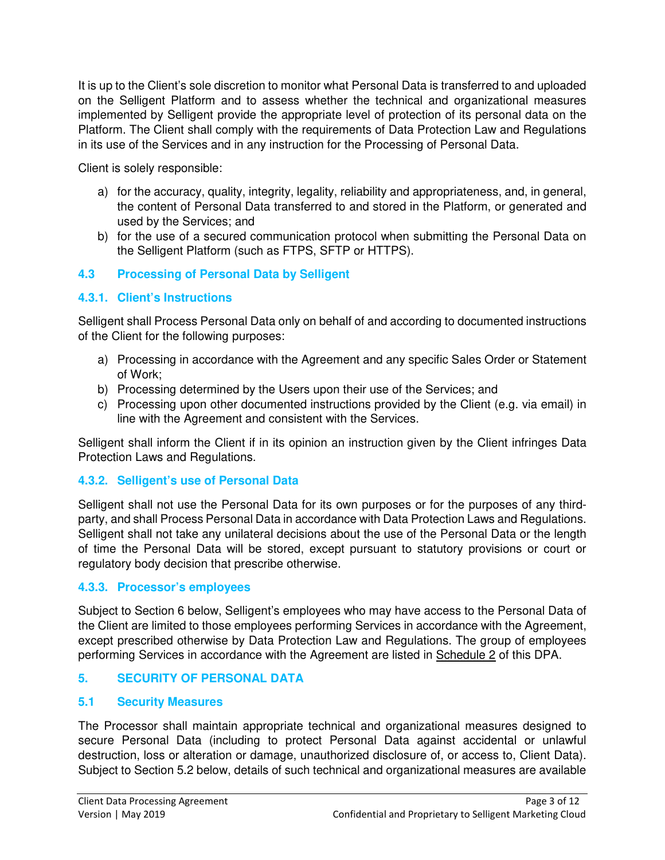It is up to the Client's sole discretion to monitor what Personal Data is transferred to and uploaded on the Selligent Platform and to assess whether the technical and organizational measures implemented by Selligent provide the appropriate level of protection of its personal data on the Platform. The Client shall comply with the requirements of Data Protection Law and Regulations in its use of the Services and in any instruction for the Processing of Personal Data.

Client is solely responsible:

- a) for the accuracy, quality, integrity, legality, reliability and appropriateness, and, in general, the content of Personal Data transferred to and stored in the Platform, or generated and used by the Services; and
- b) for the use of a secured communication protocol when submitting the Personal Data on the Selligent Platform (such as FTPS, SFTP or HTTPS).

# **4.3 Processing of Personal Data by Selligent**

# **4.3.1. Client's Instructions**

Selligent shall Process Personal Data only on behalf of and according to documented instructions of the Client for the following purposes:

- a) Processing in accordance with the Agreement and any specific Sales Order or Statement of Work;
- b) Processing determined by the Users upon their use of the Services; and
- c) Processing upon other documented instructions provided by the Client (e.g. via email) in line with the Agreement and consistent with the Services.

Selligent shall inform the Client if in its opinion an instruction given by the Client infringes Data Protection Laws and Regulations.

# **4.3.2. Selligent's use of Personal Data**

Selligent shall not use the Personal Data for its own purposes or for the purposes of any thirdparty, and shall Process Personal Data in accordance with Data Protection Laws and Regulations. Selligent shall not take any unilateral decisions about the use of the Personal Data or the length of time the Personal Data will be stored, except pursuant to statutory provisions or court or regulatory body decision that prescribe otherwise.

# **4.3.3. Processor's employees**

Subject to Section 6 below, Selligent's employees who may have access to the Personal Data of the Client are limited to those employees performing Services in accordance with the Agreement, except prescribed otherwise by Data Protection Law and Regulations. The group of employees performing Services in accordance with the Agreement are listed in Schedule 2 of this DPA.

# **5. SECURITY OF PERSONAL DATA**

# **5.1 Security Measures**

The Processor shall maintain appropriate technical and organizational measures designed to secure Personal Data (including to protect Personal Data against accidental or unlawful destruction, loss or alteration or damage, unauthorized disclosure of, or access to, Client Data). Subject to Section 5.2 below, details of such technical and organizational measures are available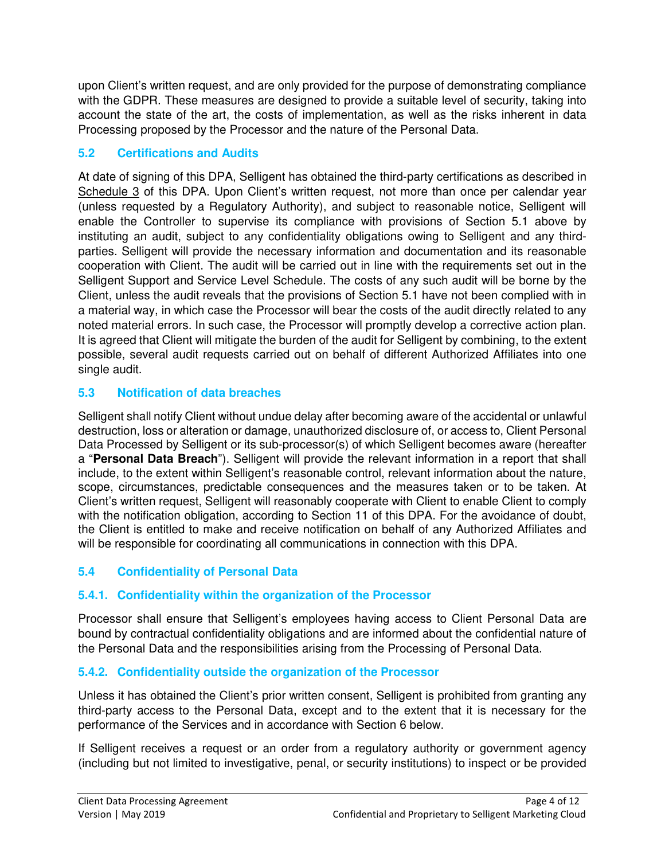upon Client's written request, and are only provided for the purpose of demonstrating compliance with the GDPR. These measures are designed to provide a suitable level of security, taking into account the state of the art, the costs of implementation, as well as the risks inherent in data Processing proposed by the Processor and the nature of the Personal Data.

# **5.2 Certifications and Audits**

At date of signing of this DPA, Selligent has obtained the third-party certifications as described in Schedule 3 of this DPA. Upon Client's written request, not more than once per calendar year (unless requested by a Regulatory Authority), and subject to reasonable notice, Selligent will enable the Controller to supervise its compliance with provisions of Section 5.1 above by instituting an audit, subject to any confidentiality obligations owing to Selligent and any thirdparties. Selligent will provide the necessary information and documentation and its reasonable cooperation with Client. The audit will be carried out in line with the requirements set out in the Selligent Support and Service Level Schedule. The costs of any such audit will be borne by the Client, unless the audit reveals that the provisions of Section 5.1 have not been complied with in a material way, in which case the Processor will bear the costs of the audit directly related to any noted material errors. In such case, the Processor will promptly develop a corrective action plan. It is agreed that Client will mitigate the burden of the audit for Selligent by combining, to the extent possible, several audit requests carried out on behalf of different Authorized Affiliates into one single audit.

# **5.3 Notification of data breaches**

Selligent shall notify Client without undue delay after becoming aware of the accidental or unlawful destruction, loss or alteration or damage, unauthorized disclosure of, or access to, Client Personal Data Processed by Selligent or its sub-processor(s) of which Selligent becomes aware (hereafter a "**Personal Data Breach**"). Selligent will provide the relevant information in a report that shall include, to the extent within Selligent's reasonable control, relevant information about the nature, scope, circumstances, predictable consequences and the measures taken or to be taken. At Client's written request, Selligent will reasonably cooperate with Client to enable Client to comply with the notification obligation, according to Section 11 of this DPA. For the avoidance of doubt, the Client is entitled to make and receive notification on behalf of any Authorized Affiliates and will be responsible for coordinating all communications in connection with this DPA.

# **5.4 Confidentiality of Personal Data**

# **5.4.1. Confidentiality within the organization of the Processor**

Processor shall ensure that Selligent's employees having access to Client Personal Data are bound by contractual confidentiality obligations and are informed about the confidential nature of the Personal Data and the responsibilities arising from the Processing of Personal Data.

# **5.4.2. Confidentiality outside the organization of the Processor**

Unless it has obtained the Client's prior written consent, Selligent is prohibited from granting any third-party access to the Personal Data, except and to the extent that it is necessary for the performance of the Services and in accordance with Section 6 below.

If Selligent receives a request or an order from a regulatory authority or government agency (including but not limited to investigative, penal, or security institutions) to inspect or be provided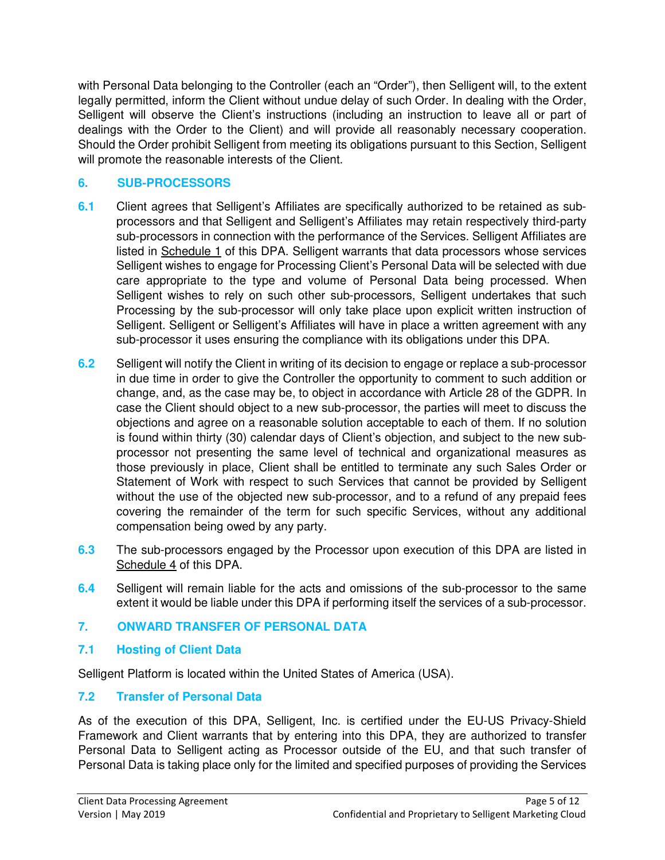with Personal Data belonging to the Controller (each an "Order"), then Selligent will, to the extent legally permitted, inform the Client without undue delay of such Order. In dealing with the Order, Selligent will observe the Client's instructions (including an instruction to leave all or part of dealings with the Order to the Client) and will provide all reasonably necessary cooperation. Should the Order prohibit Selligent from meeting its obligations pursuant to this Section, Selligent will promote the reasonable interests of the Client.

### **6. SUB-PROCESSORS**

- **6.1** Client agrees that Selligent's Affiliates are specifically authorized to be retained as subprocessors and that Selligent and Selligent's Affiliates may retain respectively third-party sub-processors in connection with the performance of the Services. Selligent Affiliates are listed in Schedule 1 of this DPA. Selligent warrants that data processors whose services Selligent wishes to engage for Processing Client's Personal Data will be selected with due care appropriate to the type and volume of Personal Data being processed. When Selligent wishes to rely on such other sub-processors, Selligent undertakes that such Processing by the sub-processor will only take place upon explicit written instruction of Selligent. Selligent or Selligent's Affiliates will have in place a written agreement with any sub-processor it uses ensuring the compliance with its obligations under this DPA.
- **6.2** Selligent will notify the Client in writing of its decision to engage or replace a sub-processor in due time in order to give the Controller the opportunity to comment to such addition or change, and, as the case may be, to object in accordance with Article 28 of the GDPR. In case the Client should object to a new sub-processor, the parties will meet to discuss the objections and agree on a reasonable solution acceptable to each of them. If no solution is found within thirty (30) calendar days of Client's objection, and subject to the new subprocessor not presenting the same level of technical and organizational measures as those previously in place, Client shall be entitled to terminate any such Sales Order or Statement of Work with respect to such Services that cannot be provided by Selligent without the use of the objected new sub-processor, and to a refund of any prepaid fees covering the remainder of the term for such specific Services, without any additional compensation being owed by any party.
- **6.3** The sub-processors engaged by the Processor upon execution of this DPA are listed in Schedule 4 of this DPA.
- **6.4** Selligent will remain liable for the acts and omissions of the sub-processor to the same extent it would be liable under this DPA if performing itself the services of a sub-processor.

# **7. ONWARD TRANSFER OF PERSONAL DATA**

# **7.1 Hosting of Client Data**

Selligent Platform is located within the United States of America (USA).

# **7.2 Transfer of Personal Data**

As of the execution of this DPA, Selligent, Inc. is certified under the EU-US Privacy-Shield Framework and Client warrants that by entering into this DPA, they are authorized to transfer Personal Data to Selligent acting as Processor outside of the EU, and that such transfer of Personal Data is taking place only for the limited and specified purposes of providing the Services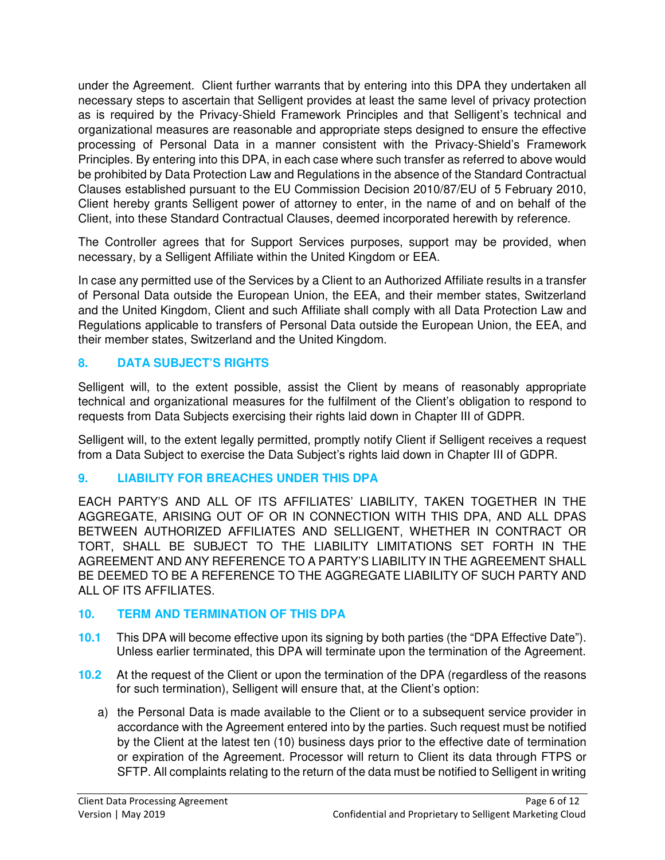under the Agreement. Client further warrants that by entering into this DPA they undertaken all necessary steps to ascertain that Selligent provides at least the same level of privacy protection as is required by the Privacy-Shield Framework Principles and that Selligent's technical and organizational measures are reasonable and appropriate steps designed to ensure the effective processing of Personal Data in a manner consistent with the Privacy-Shield's Framework Principles. By entering into this DPA, in each case where such transfer as referred to above would be prohibited by Data Protection Law and Regulations in the absence of the Standard Contractual Clauses established pursuant to the EU Commission Decision 2010/87/EU of 5 February 2010, Client hereby grants Selligent power of attorney to enter, in the name of and on behalf of the Client, into these Standard Contractual Clauses, deemed incorporated herewith by reference.

The Controller agrees that for Support Services purposes, support may be provided, when necessary, by a Selligent Affiliate within the United Kingdom or EEA.

In case any permitted use of the Services by a Client to an Authorized Affiliate results in a transfer of Personal Data outside the European Union, the EEA, and their member states, Switzerland and the United Kingdom, Client and such Affiliate shall comply with all Data Protection Law and Regulations applicable to transfers of Personal Data outside the European Union, the EEA, and their member states, Switzerland and the United Kingdom.

# **8. DATA SUBJECT'S RIGHTS**

Selligent will, to the extent possible, assist the Client by means of reasonably appropriate technical and organizational measures for the fulfilment of the Client's obligation to respond to requests from Data Subjects exercising their rights laid down in Chapter III of GDPR.

Selligent will, to the extent legally permitted, promptly notify Client if Selligent receives a request from a Data Subject to exercise the Data Subject's rights laid down in Chapter III of GDPR.

# **9. LIABILITY FOR BREACHES UNDER THIS DPA**

EACH PARTY'S AND ALL OF ITS AFFILIATES' LIABILITY, TAKEN TOGETHER IN THE AGGREGATE, ARISING OUT OF OR IN CONNECTION WITH THIS DPA, AND ALL DPAS BETWEEN AUTHORIZED AFFILIATES AND SELLIGENT, WHETHER IN CONTRACT OR TORT, SHALL BE SUBJECT TO THE LIABILITY LIMITATIONS SET FORTH IN THE AGREEMENT AND ANY REFERENCE TO A PARTY'S LIABILITY IN THE AGREEMENT SHALL BE DEEMED TO BE A REFERENCE TO THE AGGREGATE LIABILITY OF SUCH PARTY AND ALL OF ITS AFFILIATES.

# **10. TERM AND TERMINATION OF THIS DPA**

- **10.1** This DPA will become effective upon its signing by both parties (the "DPA Effective Date"). Unless earlier terminated, this DPA will terminate upon the termination of the Agreement.
- **10.2** At the request of the Client or upon the termination of the DPA (regardless of the reasons for such termination), Selligent will ensure that, at the Client's option:
	- a) the Personal Data is made available to the Client or to a subsequent service provider in accordance with the Agreement entered into by the parties. Such request must be notified by the Client at the latest ten (10) business days prior to the effective date of termination or expiration of the Agreement. Processor will return to Client its data through FTPS or SFTP. All complaints relating to the return of the data must be notified to Selligent in writing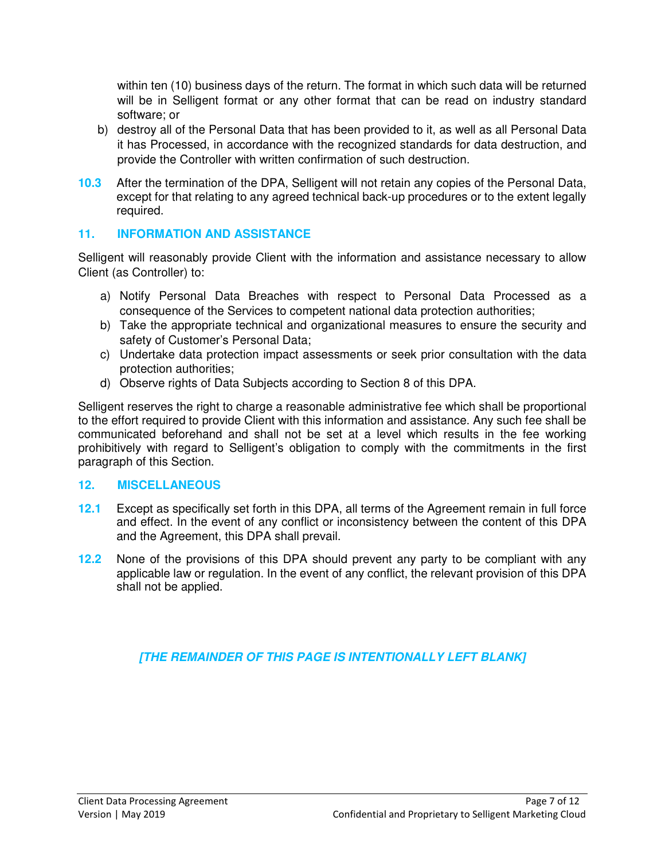within ten (10) business days of the return. The format in which such data will be returned will be in Selligent format or any other format that can be read on industry standard software; or

- b) destroy all of the Personal Data that has been provided to it, as well as all Personal Data it has Processed, in accordance with the recognized standards for data destruction, and provide the Controller with written confirmation of such destruction.
- **10.3** After the termination of the DPA, Selligent will not retain any copies of the Personal Data, except for that relating to any agreed technical back-up procedures or to the extent legally required.

### **11. INFORMATION AND ASSISTANCE**

Selligent will reasonably provide Client with the information and assistance necessary to allow Client (as Controller) to:

- a) Notify Personal Data Breaches with respect to Personal Data Processed as a consequence of the Services to competent national data protection authorities;
- b) Take the appropriate technical and organizational measures to ensure the security and safety of Customer's Personal Data;
- c) Undertake data protection impact assessments or seek prior consultation with the data protection authorities;
- d) Observe rights of Data Subjects according to Section 8 of this DPA.

Selligent reserves the right to charge a reasonable administrative fee which shall be proportional to the effort required to provide Client with this information and assistance. Any such fee shall be communicated beforehand and shall not be set at a level which results in the fee working prohibitively with regard to Selligent's obligation to comply with the commitments in the first paragraph of this Section.

### **12. MISCELLANEOUS**

- **12.1** Except as specifically set forth in this DPA, all terms of the Agreement remain in full force and effect. In the event of any conflict or inconsistency between the content of this DPA and the Agreement, this DPA shall prevail.
- **12.2** None of the provisions of this DPA should prevent any party to be compliant with any applicable law or regulation. In the event of any conflict, the relevant provision of this DPA shall not be applied.

# **[THE REMAINDER OF THIS PAGE IS INTENTIONALLY LEFT BLANK]**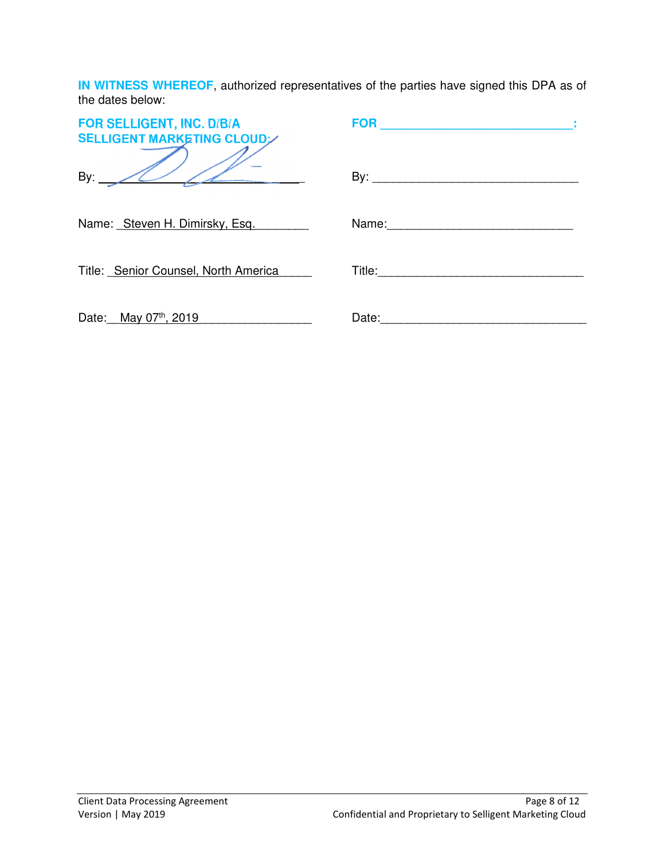**IN WITNESS WHEREOF**, authorized representatives of the parties have signed this DPA as of the dates below:

| FOR SELLIGENT, INC. D/B/A<br><b>SELLIGENT MARKETING CLOUD</b> | <b>FOR</b><br>the control of the control of the control of the control of                                                                                                                                                      |
|---------------------------------------------------------------|--------------------------------------------------------------------------------------------------------------------------------------------------------------------------------------------------------------------------------|
| By: $\angle$                                                  |                                                                                                                                                                                                                                |
| Name: Steven H. Dimirsky, Esq.                                |                                                                                                                                                                                                                                |
| Title: Senior Counsel, North America                          |                                                                                                                                                                                                                                |
| Date: May 07th, 2019                                          | Date: the contract of the contract of the contract of the contract of the contract of the contract of the contract of the contract of the contract of the contract of the contract of the contract of the contract of the cont |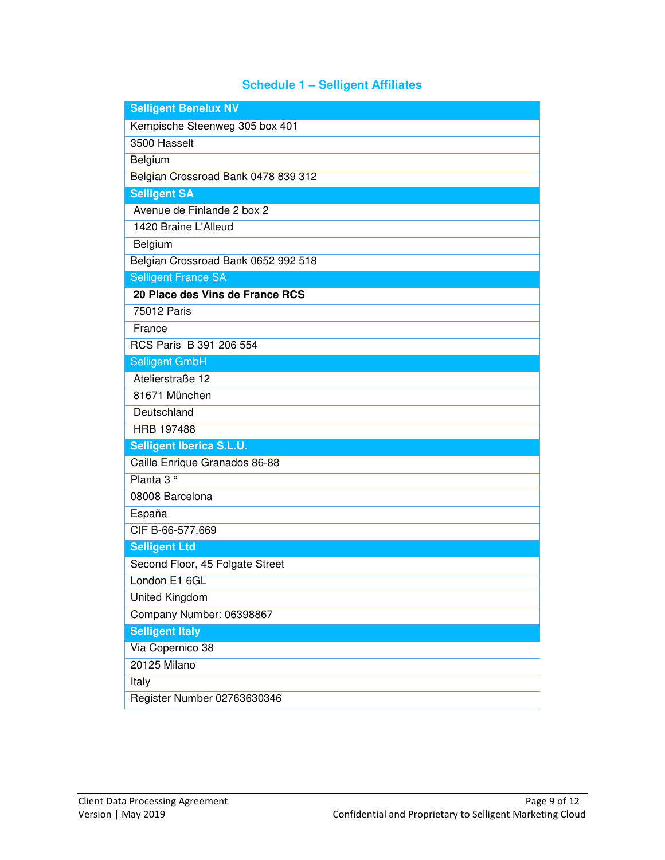# **Schedule 1 – Selligent Affiliates**

| <b>Selligent Benelux NV</b>         |
|-------------------------------------|
| Kempische Steenweg 305 box 401      |
| 3500 Hasselt                        |
| Belgium                             |
| Belgian Crossroad Bank 0478 839 312 |
| <b>Selligent SA</b>                 |
| Avenue de Finlande 2 box 2          |
| 1420 Braine L'Alleud                |
| Belgium                             |
| Belgian Crossroad Bank 0652 992 518 |
| <b>Selligent France SA</b>          |
| 20 Place des Vins de France RCS     |
| 75012 Paris                         |
| France                              |
| RCS Paris B 391 206 554             |
| <b>Selligent GmbH</b>               |
| Atelierstraße 12                    |
| 81671 München                       |
| Deutschland                         |
| HRB 197488                          |
| <b>Selligent Iberica S.L.U.</b>     |
| Caille Enrique Granados 86-88       |
| Planta 3°                           |
| 08008 Barcelona                     |
| España                              |
| CIF B-66-577.669                    |
| <b>Selligent Ltd</b>                |
| Second Floor, 45 Folgate Street     |
| London E1 6GL                       |
| United Kingdom                      |
| Company Number: 06398867            |
| <b>Selligent Italy</b>              |
| Via Copernico 38                    |
| 20125 Milano                        |
| Italy                               |
| Register Number 02763630346         |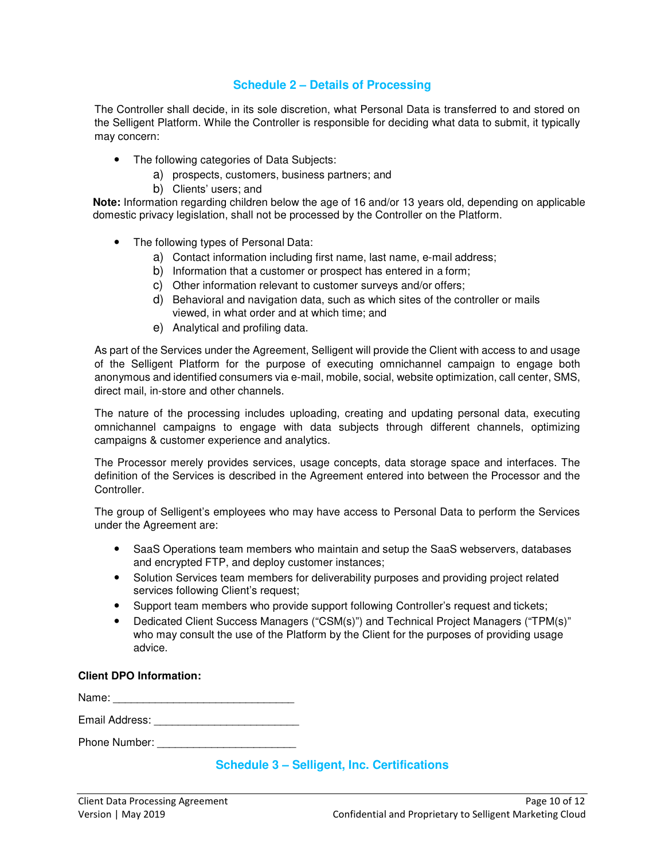#### **Schedule 2 – Details of Processing**

The Controller shall decide, in its sole discretion, what Personal Data is transferred to and stored on the Selligent Platform. While the Controller is responsible for deciding what data to submit, it typically may concern:

- The following categories of Data Subjects:
	- a) prospects, customers, business partners; and
	- b) Clients' users; and

**Note:** Information regarding children below the age of 16 and/or 13 years old, depending on applicable domestic privacy legislation, shall not be processed by the Controller on the Platform.

- The following types of Personal Data:
	- a) Contact information including first name, last name, e-mail address;
	- b) Information that a customer or prospect has entered in a form;
	- c) Other information relevant to customer surveys and/or offers;
	- d) Behavioral and navigation data, such as which sites of the controller or mails viewed, in what order and at which time; and
	- e) Analytical and profiling data.

As part of the Services under the Agreement, Selligent will provide the Client with access to and usage of the Selligent Platform for the purpose of executing omnichannel campaign to engage both anonymous and identified consumers via e-mail, mobile, social, website optimization, call center, SMS, direct mail, in-store and other channels.

The nature of the processing includes uploading, creating and updating personal data, executing omnichannel campaigns to engage with data subjects through different channels, optimizing campaigns & customer experience and analytics.

The Processor merely provides services, usage concepts, data storage space and interfaces. The definition of the Services is described in the Agreement entered into between the Processor and the Controller.

The group of Selligent's employees who may have access to Personal Data to perform the Services under the Agreement are:

- SaaS Operations team members who maintain and setup the SaaS webservers, databases and encrypted FTP, and deploy customer instances;
- Solution Services team members for deliverability purposes and providing project related services following Client's request;
- Support team members who provide support following Controller's request and tickets;
- Dedicated Client Success Managers ("CSM(s)") and Technical Project Managers ("TPM(s)" who may consult the use of the Platform by the Client for the purposes of providing usage advice.

#### **Client DPO Information:**

Name: \_\_\_\_\_\_\_\_\_\_\_\_\_\_\_\_\_\_\_\_\_\_\_\_\_\_\_\_\_\_

Email Address: \_\_\_\_\_\_\_\_\_\_\_\_\_\_\_\_\_\_\_\_\_\_\_\_

Phone Number: \_\_\_\_\_\_\_\_\_\_\_\_\_\_\_\_\_\_\_\_\_\_\_

#### **Schedule 3 – Selligent, Inc. Certifications**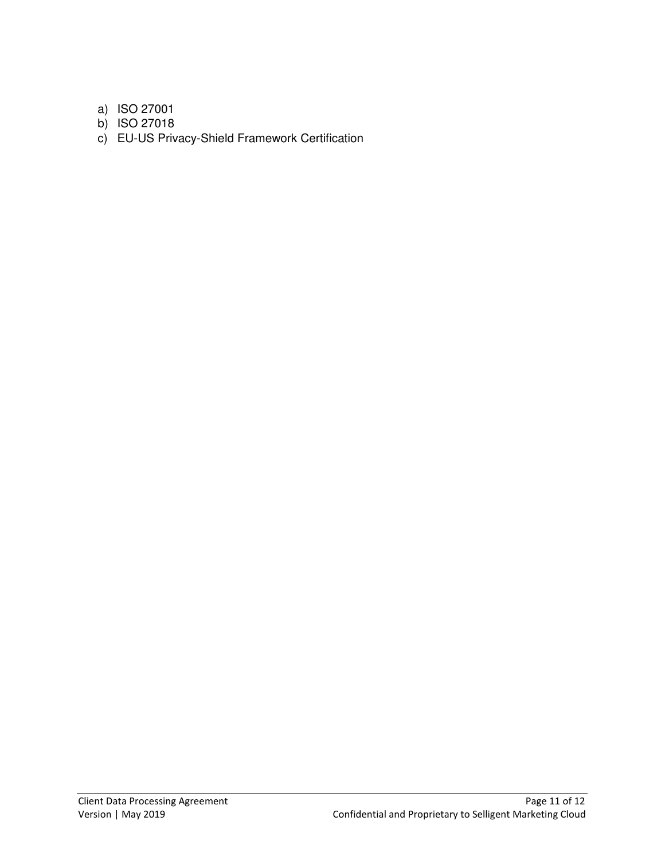a) ISO 27001

- b) ISO 27018
- c) EU-US Privacy-Shield Framework Certification